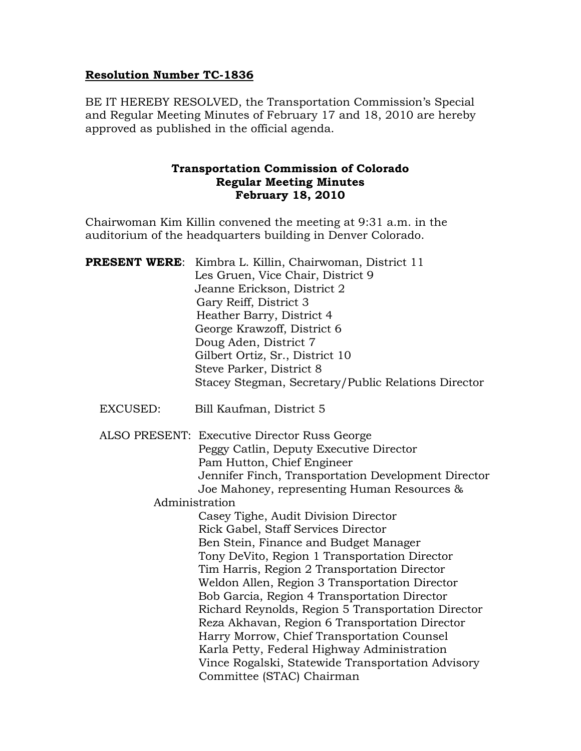#### Resolution Number TC-1836

BE IT HEREBY RESOLVED, the Transportation Commission's Special and Regular Meeting Minutes of February 17 and 18, 2010 are hereby approved as published in the official agenda.

#### Transportation Commission of Colorado Regular Meeting Minutes February 18, 2010

Chairwoman Kim Killin convened the meeting at 9:31 a.m. in the auditorium of the headquarters building in Denver Colorado.

| <b>PRESENT WERE:</b> | Kimbra L. Killin, Chairwoman, District 11<br>Les Gruen, Vice Chair, District 9<br>Jeanne Erickson, District 2<br>Gary Reiff, District 3<br>Heather Barry, District 4<br>George Krawzoff, District 6 |
|----------------------|-----------------------------------------------------------------------------------------------------------------------------------------------------------------------------------------------------|
|                      | Doug Aden, District 7                                                                                                                                                                               |
|                      | Gilbert Ortiz, Sr., District 10                                                                                                                                                                     |
|                      | Steve Parker, District 8                                                                                                                                                                            |
|                      | Stacey Stegman, Secretary/Public Relations Director                                                                                                                                                 |
| EXCUSED:             | Bill Kaufman, District 5                                                                                                                                                                            |
|                      | ALSO PRESENT: Executive Director Russ George                                                                                                                                                        |
|                      | Peggy Catlin, Deputy Executive Director                                                                                                                                                             |
|                      | Pam Hutton, Chief Engineer                                                                                                                                                                          |
|                      | Jennifer Finch, Transportation Development Director                                                                                                                                                 |
|                      | Joe Mahoney, representing Human Resources &                                                                                                                                                         |
|                      | Administration                                                                                                                                                                                      |
|                      | Casey Tighe, Audit Division Director                                                                                                                                                                |
|                      | Rick Gabel, Staff Services Director                                                                                                                                                                 |
|                      | Ben Stein, Finance and Budget Manager                                                                                                                                                               |
|                      | Tony DeVito, Region 1 Transportation Director                                                                                                                                                       |
|                      | Tim Harris, Region 2 Transportation Director                                                                                                                                                        |
|                      | Weldon Allen, Region 3 Transportation Director                                                                                                                                                      |
|                      | Bob Garcia, Region 4 Transportation Director                                                                                                                                                        |
|                      | Richard Reynolds, Region 5 Transportation Director                                                                                                                                                  |
|                      | Reza Akhavan, Region 6 Transportation Director                                                                                                                                                      |
|                      | Harry Morrow, Chief Transportation Counsel                                                                                                                                                          |
|                      | Karla Petty, Federal Highway Administration                                                                                                                                                         |
|                      | Vince Rogalski, Statewide Transportation Advisory                                                                                                                                                   |
|                      | Committee (STAC) Chairman                                                                                                                                                                           |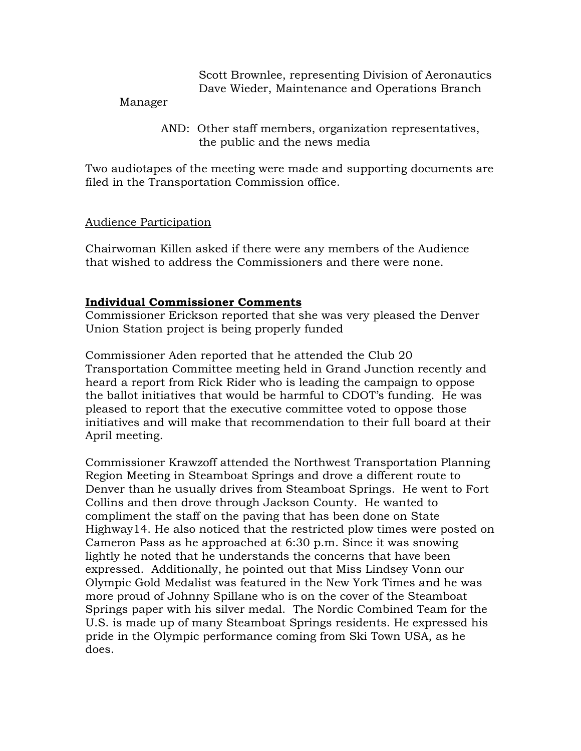Scott Brownlee, representing Division of Aeronautics Dave Wieder, Maintenance and Operations Branch

#### Manager

 AND: Other staff members, organization representatives, the public and the news media

Two audiotapes of the meeting were made and supporting documents are filed in the Transportation Commission office.

#### Audience Participation

Chairwoman Killen asked if there were any members of the Audience that wished to address the Commissioners and there were none.

#### Individual Commissioner Comments

Commissioner Erickson reported that she was very pleased the Denver Union Station project is being properly funded

Commissioner Aden reported that he attended the Club 20 Transportation Committee meeting held in Grand Junction recently and heard a report from Rick Rider who is leading the campaign to oppose the ballot initiatives that would be harmful to CDOT's funding. He was pleased to report that the executive committee voted to oppose those initiatives and will make that recommendation to their full board at their April meeting.

Commissioner Krawzoff attended the Northwest Transportation Planning Region Meeting in Steamboat Springs and drove a different route to Denver than he usually drives from Steamboat Springs. He went to Fort Collins and then drove through Jackson County. He wanted to compliment the staff on the paving that has been done on State Highway14. He also noticed that the restricted plow times were posted on Cameron Pass as he approached at 6:30 p.m. Since it was snowing lightly he noted that he understands the concerns that have been expressed. Additionally, he pointed out that Miss Lindsey Vonn our Olympic Gold Medalist was featured in the New York Times and he was more proud of Johnny Spillane who is on the cover of the Steamboat Springs paper with his silver medal. The Nordic Combined Team for the U.S. is made up of many Steamboat Springs residents. He expressed his pride in the Olympic performance coming from Ski Town USA, as he does.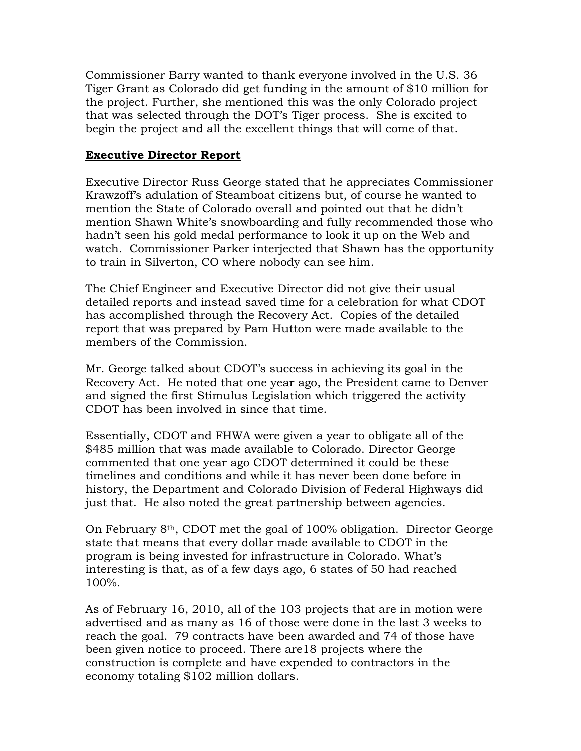Commissioner Barry wanted to thank everyone involved in the U.S. 36 Tiger Grant as Colorado did get funding in the amount of \$10 million for the project. Further, she mentioned this was the only Colorado project that was selected through the DOT's Tiger process. She is excited to begin the project and all the excellent things that will come of that.

#### Executive Director Report

Executive Director Russ George stated that he appreciates Commissioner Krawzoff's adulation of Steamboat citizens but, of course he wanted to mention the State of Colorado overall and pointed out that he didn't mention Shawn White's snowboarding and fully recommended those who hadn't seen his gold medal performance to look it up on the Web and watch. Commissioner Parker interjected that Shawn has the opportunity to train in Silverton, CO where nobody can see him.

The Chief Engineer and Executive Director did not give their usual detailed reports and instead saved time for a celebration for what CDOT has accomplished through the Recovery Act. Copies of the detailed report that was prepared by Pam Hutton were made available to the members of the Commission.

Mr. George talked about CDOT's success in achieving its goal in the Recovery Act. He noted that one year ago, the President came to Denver and signed the first Stimulus Legislation which triggered the activity CDOT has been involved in since that time.

Essentially, CDOT and FHWA were given a year to obligate all of the \$485 million that was made available to Colorado. Director George commented that one year ago CDOT determined it could be these timelines and conditions and while it has never been done before in history, the Department and Colorado Division of Federal Highways did just that. He also noted the great partnership between agencies.

On February 8th, CDOT met the goal of 100% obligation. Director George state that means that every dollar made available to CDOT in the program is being invested for infrastructure in Colorado. What's interesting is that, as of a few days ago, 6 states of 50 had reached 100%.

As of February 16, 2010, all of the 103 projects that are in motion were advertised and as many as 16 of those were done in the last 3 weeks to reach the goal. 79 contracts have been awarded and 74 of those have been given notice to proceed. There are18 projects where the construction is complete and have expended to contractors in the economy totaling \$102 million dollars.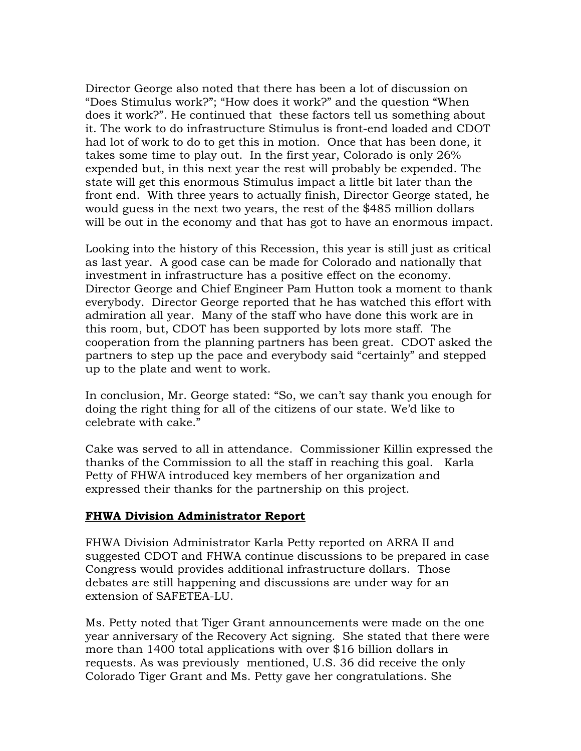Director George also noted that there has been a lot of discussion on "Does Stimulus work?"; "How does it work?" and the question "When does it work?". He continued that these factors tell us something about it. The work to do infrastructure Stimulus is front-end loaded and CDOT had lot of work to do to get this in motion. Once that has been done, it takes some time to play out. In the first year, Colorado is only 26% expended but, in this next year the rest will probably be expended. The state will get this enormous Stimulus impact a little bit later than the front end. With three years to actually finish, Director George stated, he would guess in the next two years, the rest of the \$485 million dollars will be out in the economy and that has got to have an enormous impact.

Looking into the history of this Recession, this year is still just as critical as last year. A good case can be made for Colorado and nationally that investment in infrastructure has a positive effect on the economy. Director George and Chief Engineer Pam Hutton took a moment to thank everybody. Director George reported that he has watched this effort with admiration all year. Many of the staff who have done this work are in this room, but, CDOT has been supported by lots more staff. The cooperation from the planning partners has been great. CDOT asked the partners to step up the pace and everybody said "certainly" and stepped up to the plate and went to work.

In conclusion, Mr. George stated: "So, we can't say thank you enough for doing the right thing for all of the citizens of our state. We'd like to celebrate with cake."

Cake was served to all in attendance. Commissioner Killin expressed the thanks of the Commission to all the staff in reaching this goal. Karla Petty of FHWA introduced key members of her organization and expressed their thanks for the partnership on this project.

#### FHWA Division Administrator Report

FHWA Division Administrator Karla Petty reported on ARRA II and suggested CDOT and FHWA continue discussions to be prepared in case Congress would provides additional infrastructure dollars. Those debates are still happening and discussions are under way for an extension of SAFETEA-LU.

Ms. Petty noted that Tiger Grant announcements were made on the one year anniversary of the Recovery Act signing. She stated that there were more than 1400 total applications with over \$16 billion dollars in requests. As was previously mentioned, U.S. 36 did receive the only Colorado Tiger Grant and Ms. Petty gave her congratulations. She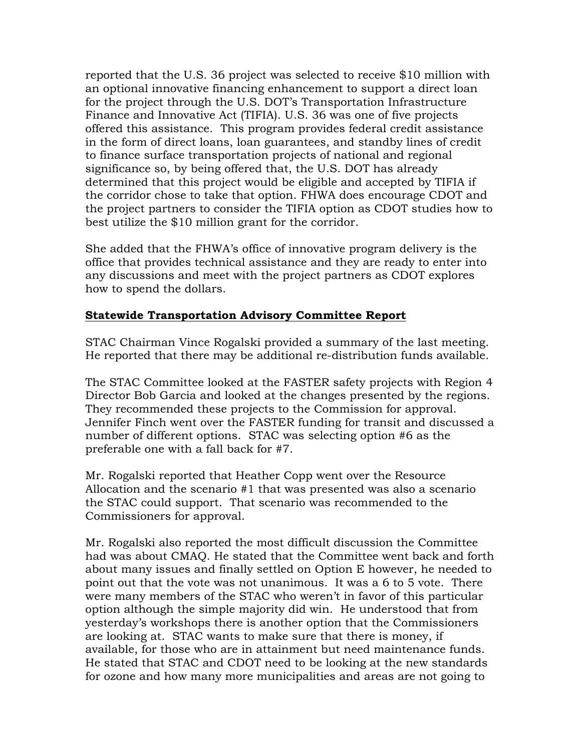reported that the U.S. 36 project was selected to receive \$10 million with an optional innovative financing enhancement to support a direct loan for the project through the U.S. DOT's Transportation Infrastructure Finance and Innovative Act (TIFIA). U.S. 36 was one of five projects offered this assistance. This program provides federal credit assistance in the form of direct loans, loan guarantees, and standby lines of credit to finance surface transportation projects of national and regional significance so, by being offered that, the U.S. DOT has already determined that this project would be eligible and accepted by TIFIA if the corridor chose to take that option. FHWA does encourage CDOT and the project partners to consider the TIFIA option as CDOT studies how to best utilize the \$10 million grant for the corridor.

She added that the FHWA's office of innovative program delivery is the office that provides technical assistance and they are ready to enter into any discussions and meet with the project partners as CDOT explores how to spend the dollars.

#### Statewide Transportation Advisory Committee Report

STAC Chairman Vince Rogalski provided a summary of the last meeting. He reported that there may be additional re-distribution funds available.

The STAC Committee looked at the FASTER safety projects with Region 4 Director Bob Garcia and looked at the changes presented by the regions. They recommended these projects to the Commission for approval. Jennifer Finch went over the FASTER funding for transit and discussed a number of different options. STAC was selecting option #6 as the preferable one with a fall back for #7.

Mr. Rogalski reported that Heather Copp went over the Resource Allocation and the scenario #1 that was presented was also a scenario the STAC could support. That scenario was recommended to the Commissioners for approval.

Mr. Rogalski also reported the most difficult discussion the Committee had was about CMAQ. He stated that the Committee went back and forth about many issues and finally settled on Option E however, he needed to point out that the vote was not unanimous. It was a 6 to 5 vote. There were many members of the STAC who weren't in favor of this particular option although the simple majority did win. He understood that from yesterday's workshops there is another option that the Commissioners are looking at. STAC wants to make sure that there is money, if available, for those who are in attainment but need maintenance funds. He stated that STAC and CDOT need to be looking at the new standards for ozone and how many more municipalities and areas are not going to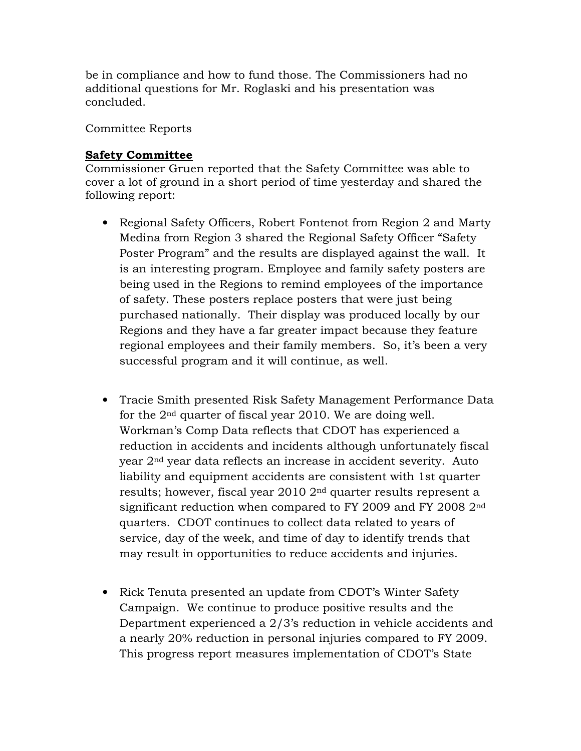be in compliance and how to fund those. The Commissioners had no additional questions for Mr. Roglaski and his presentation was concluded.

Committee Reports

### Safety Committee

Commissioner Gruen reported that the Safety Committee was able to cover a lot of ground in a short period of time yesterday and shared the following report:

- Regional Safety Officers, Robert Fontenot from Region 2 and Marty Medina from Region 3 shared the Regional Safety Officer "Safety Poster Program" and the results are displayed against the wall. It is an interesting program. Employee and family safety posters are being used in the Regions to remind employees of the importance of safety. These posters replace posters that were just being purchased nationally. Their display was produced locally by our Regions and they have a far greater impact because they feature regional employees and their family members. So, it's been a very successful program and it will continue, as well.
- Tracie Smith presented Risk Safety Management Performance Data for the 2nd quarter of fiscal year 2010. We are doing well. Workman's Comp Data reflects that CDOT has experienced a reduction in accidents and incidents although unfortunately fiscal year 2nd year data reflects an increase in accident severity. Auto liability and equipment accidents are consistent with 1st quarter results; however, fiscal year 2010 2nd quarter results represent a significant reduction when compared to FY 2009 and FY 2008 2nd quarters. CDOT continues to collect data related to years of service, day of the week, and time of day to identify trends that may result in opportunities to reduce accidents and injuries.
- Rick Tenuta presented an update from CDOT's Winter Safety Campaign. We continue to produce positive results and the Department experienced a 2/3's reduction in vehicle accidents and a nearly 20% reduction in personal injuries compared to FY 2009. This progress report measures implementation of CDOT's State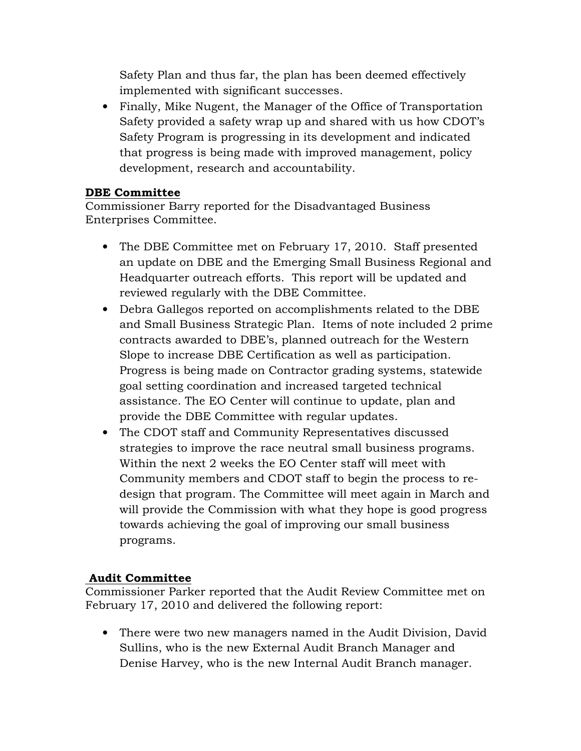Safety Plan and thus far, the plan has been deemed effectively implemented with significant successes.

• Finally, Mike Nugent, the Manager of the Office of Transportation Safety provided a safety wrap up and shared with us how CDOT's Safety Program is progressing in its development and indicated that progress is being made with improved management, policy development, research and accountability.

## DBE Committee

Commissioner Barry reported for the Disadvantaged Business Enterprises Committee.

- The DBE Committee met on February 17, 2010. Staff presented an update on DBE and the Emerging Small Business Regional and Headquarter outreach efforts. This report will be updated and reviewed regularly with the DBE Committee.
- Debra Gallegos reported on accomplishments related to the DBE and Small Business Strategic Plan. Items of note included 2 prime contracts awarded to DBE's, planned outreach for the Western Slope to increase DBE Certification as well as participation. Progress is being made on Contractor grading systems, statewide goal setting coordination and increased targeted technical assistance. The EO Center will continue to update, plan and provide the DBE Committee with regular updates.
- The CDOT staff and Community Representatives discussed strategies to improve the race neutral small business programs. Within the next 2 weeks the EO Center staff will meet with Community members and CDOT staff to begin the process to redesign that program. The Committee will meet again in March and will provide the Commission with what they hope is good progress towards achieving the goal of improving our small business programs.

# Audit Committee

Commissioner Parker reported that the Audit Review Committee met on February 17, 2010 and delivered the following report:

• There were two new managers named in the Audit Division, David Sullins, who is the new External Audit Branch Manager and Denise Harvey, who is the new Internal Audit Branch manager.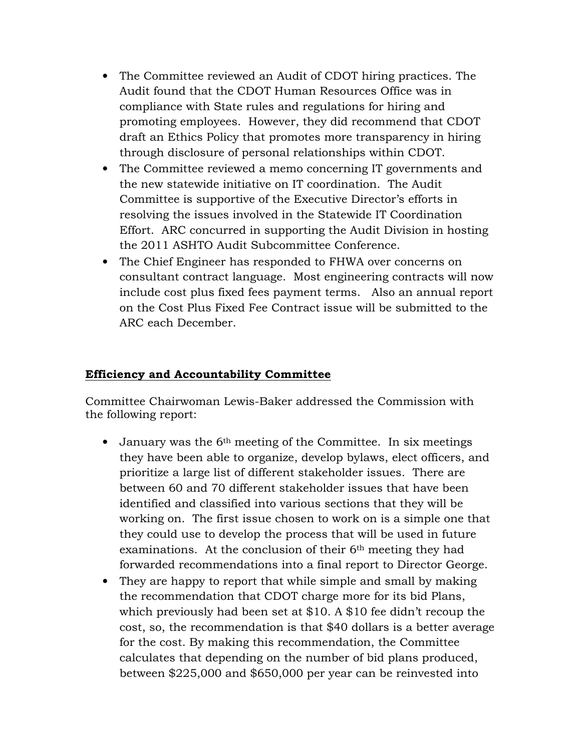- The Committee reviewed an Audit of CDOT hiring practices. The Audit found that the CDOT Human Resources Office was in compliance with State rules and regulations for hiring and promoting employees. However, they did recommend that CDOT draft an Ethics Policy that promotes more transparency in hiring through disclosure of personal relationships within CDOT.
- The Committee reviewed a memo concerning IT governments and the new statewide initiative on IT coordination. The Audit Committee is supportive of the Executive Director's efforts in resolving the issues involved in the Statewide IT Coordination Effort. ARC concurred in supporting the Audit Division in hosting the 2011 ASHTO Audit Subcommittee Conference.
- The Chief Engineer has responded to FHWA over concerns on consultant contract language. Most engineering contracts will now include cost plus fixed fees payment terms. Also an annual report on the Cost Plus Fixed Fee Contract issue will be submitted to the ARC each December.

### Efficiency and Accountability Committee

Committee Chairwoman Lewis-Baker addressed the Commission with the following report:

- January was the 6<sup>th</sup> meeting of the Committee. In six meetings they have been able to organize, develop bylaws, elect officers, and prioritize a large list of different stakeholder issues. There are between 60 and 70 different stakeholder issues that have been identified and classified into various sections that they will be working on. The first issue chosen to work on is a simple one that they could use to develop the process that will be used in future examinations. At the conclusion of their 6th meeting they had forwarded recommendations into a final report to Director George.
- They are happy to report that while simple and small by making the recommendation that CDOT charge more for its bid Plans, which previously had been set at \$10. A \$10 fee didn't recoup the cost, so, the recommendation is that \$40 dollars is a better average for the cost. By making this recommendation, the Committee calculates that depending on the number of bid plans produced, between \$225,000 and \$650,000 per year can be reinvested into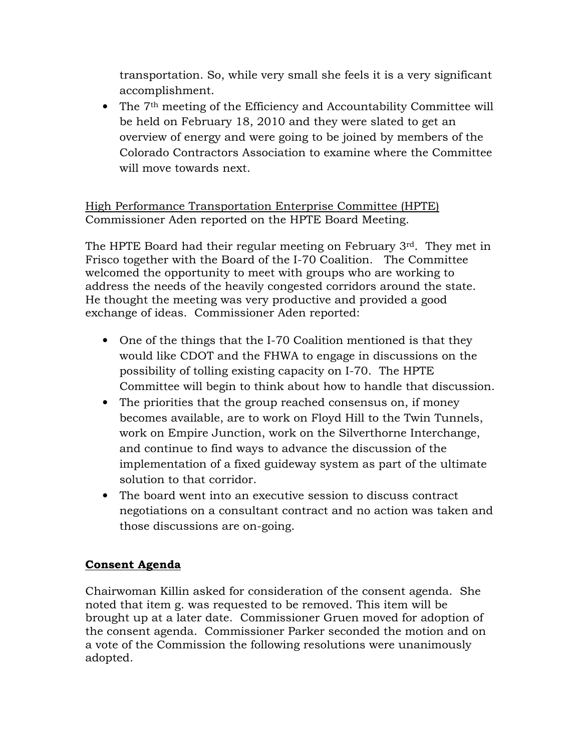transportation. So, while very small she feels it is a very significant accomplishment.

• The 7<sup>th</sup> meeting of the Efficiency and Accountability Committee will be held on February 18, 2010 and they were slated to get an overview of energy and were going to be joined by members of the Colorado Contractors Association to examine where the Committee will move towards next.

High Performance Transportation Enterprise Committee (HPTE) Commissioner Aden reported on the HPTE Board Meeting.

The HPTE Board had their regular meeting on February 3rd. They met in Frisco together with the Board of the I-70 Coalition. The Committee welcomed the opportunity to meet with groups who are working to address the needs of the heavily congested corridors around the state. He thought the meeting was very productive and provided a good exchange of ideas. Commissioner Aden reported:

- One of the things that the I-70 Coalition mentioned is that they would like CDOT and the FHWA to engage in discussions on the possibility of tolling existing capacity on I-70. The HPTE Committee will begin to think about how to handle that discussion.
- The priorities that the group reached consensus on, if money becomes available, are to work on Floyd Hill to the Twin Tunnels, work on Empire Junction, work on the Silverthorne Interchange, and continue to find ways to advance the discussion of the implementation of a fixed guideway system as part of the ultimate solution to that corridor.
- The board went into an executive session to discuss contract negotiations on a consultant contract and no action was taken and those discussions are on-going.

### Consent Agenda

Chairwoman Killin asked for consideration of the consent agenda. She noted that item g. was requested to be removed. This item will be brought up at a later date. Commissioner Gruen moved for adoption of the consent agenda. Commissioner Parker seconded the motion and on a vote of the Commission the following resolutions were unanimously adopted.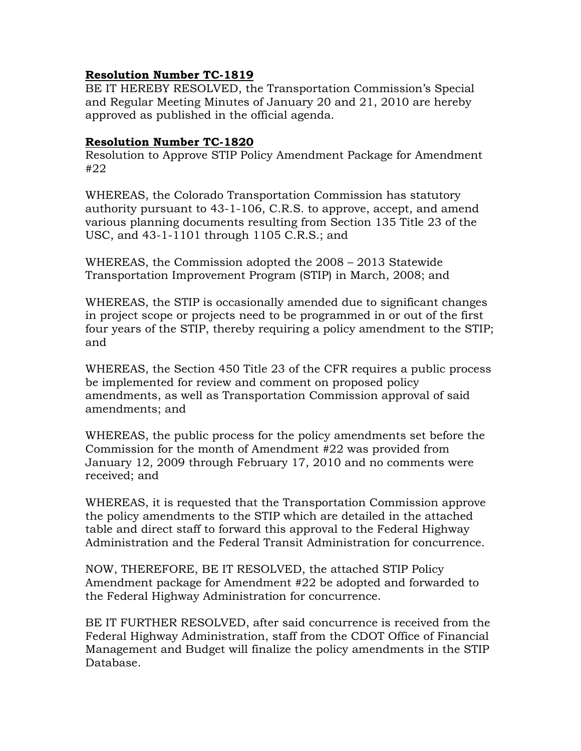### Resolution Number TC-1819

BE IT HEREBY RESOLVED, the Transportation Commission's Special and Regular Meeting Minutes of January 20 and 21, 2010 are hereby approved as published in the official agenda.

#### Resolution Number TC-1820

Resolution to Approve STIP Policy Amendment Package for Amendment #22

WHEREAS, the Colorado Transportation Commission has statutory authority pursuant to 43-1-106, C.R.S. to approve, accept, and amend various planning documents resulting from Section 135 Title 23 of the USC, and 43-1-1101 through 1105 C.R.S.; and

WHEREAS, the Commission adopted the 2008 – 2013 Statewide Transportation Improvement Program (STIP) in March, 2008; and

WHEREAS, the STIP is occasionally amended due to significant changes in project scope or projects need to be programmed in or out of the first four years of the STIP, thereby requiring a policy amendment to the STIP; and

WHEREAS, the Section 450 Title 23 of the CFR requires a public process be implemented for review and comment on proposed policy amendments, as well as Transportation Commission approval of said amendments; and

WHEREAS, the public process for the policy amendments set before the Commission for the month of Amendment #22 was provided from January 12, 2009 through February 17, 2010 and no comments were received; and

WHEREAS, it is requested that the Transportation Commission approve the policy amendments to the STIP which are detailed in the attached table and direct staff to forward this approval to the Federal Highway Administration and the Federal Transit Administration for concurrence.

NOW, THEREFORE, BE IT RESOLVED, the attached STIP Policy Amendment package for Amendment #22 be adopted and forwarded to the Federal Highway Administration for concurrence.

BE IT FURTHER RESOLVED, after said concurrence is received from the Federal Highway Administration, staff from the CDOT Office of Financial Management and Budget will finalize the policy amendments in the STIP Database.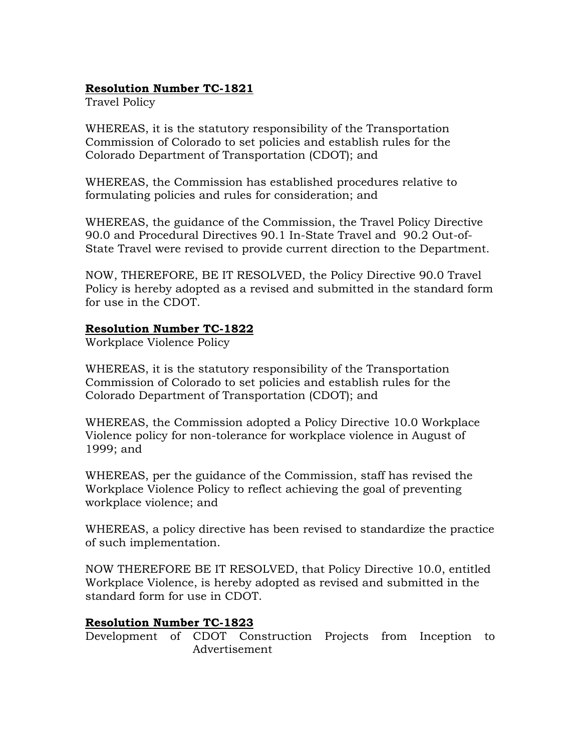# Resolution Number TC-1821

Travel Policy

WHEREAS, it is the statutory responsibility of the Transportation Commission of Colorado to set policies and establish rules for the Colorado Department of Transportation (CDOT); and

WHEREAS, the Commission has established procedures relative to formulating policies and rules for consideration; and

WHEREAS, the guidance of the Commission, the Travel Policy Directive 90.0 and Procedural Directives 90.1 In-State Travel and 90.2 Out-of-State Travel were revised to provide current direction to the Department.

NOW, THEREFORE, BE IT RESOLVED, the Policy Directive 90.0 Travel Policy is hereby adopted as a revised and submitted in the standard form for use in the CDOT.

### Resolution Number TC-1822

Workplace Violence Policy

WHEREAS, it is the statutory responsibility of the Transportation Commission of Colorado to set policies and establish rules for the Colorado Department of Transportation (CDOT); and

WHEREAS, the Commission adopted a Policy Directive 10.0 Workplace Violence policy for non-tolerance for workplace violence in August of 1999; and

WHEREAS, per the guidance of the Commission, staff has revised the Workplace Violence Policy to reflect achieving the goal of preventing workplace violence; and

WHEREAS, a policy directive has been revised to standardize the practice of such implementation.

NOW THEREFORE BE IT RESOLVED, that Policy Directive 10.0, entitled Workplace Violence, is hereby adopted as revised and submitted in the standard form for use in CDOT.

### Resolution Number TC-1823

Development of CDOT Construction Projects from Inception to Advertisement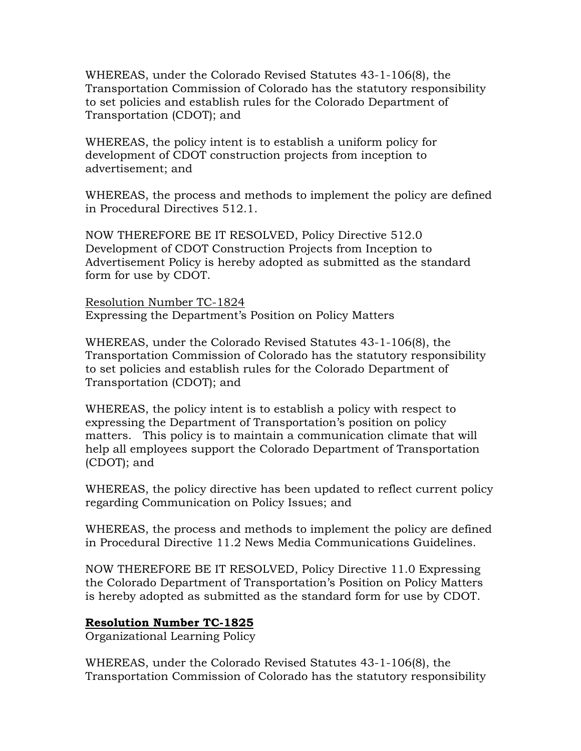WHEREAS, under the Colorado Revised Statutes 43-1-106(8), the Transportation Commission of Colorado has the statutory responsibility to set policies and establish rules for the Colorado Department of Transportation (CDOT); and

WHEREAS, the policy intent is to establish a uniform policy for development of CDOT construction projects from inception to advertisement; and

WHEREAS, the process and methods to implement the policy are defined in Procedural Directives 512.1.

NOW THEREFORE BE IT RESOLVED, Policy Directive 512.0 Development of CDOT Construction Projects from Inception to Advertisement Policy is hereby adopted as submitted as the standard form for use by CDOT.

Resolution Number TC-1824 Expressing the Department's Position on Policy Matters

WHEREAS, under the Colorado Revised Statutes 43-1-106(8), the Transportation Commission of Colorado has the statutory responsibility to set policies and establish rules for the Colorado Department of Transportation (CDOT); and

WHEREAS, the policy intent is to establish a policy with respect to expressing the Department of Transportation's position on policy matters. This policy is to maintain a communication climate that will help all employees support the Colorado Department of Transportation (CDOT); and

WHEREAS, the policy directive has been updated to reflect current policy regarding Communication on Policy Issues; and

WHEREAS, the process and methods to implement the policy are defined in Procedural Directive 11.2 News Media Communications Guidelines.

NOW THEREFORE BE IT RESOLVED, Policy Directive 11.0 Expressing the Colorado Department of Transportation's Position on Policy Matters is hereby adopted as submitted as the standard form for use by CDOT.

#### Resolution Number TC-1825

Organizational Learning Policy

WHEREAS, under the Colorado Revised Statutes 43-1-106(8), the Transportation Commission of Colorado has the statutory responsibility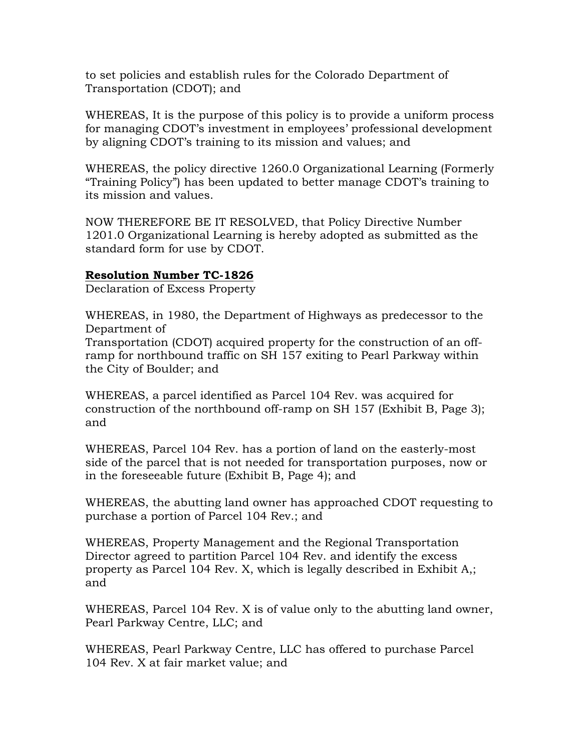to set policies and establish rules for the Colorado Department of Transportation (CDOT); and

WHEREAS, It is the purpose of this policy is to provide a uniform process for managing CDOT's investment in employees' professional development by aligning CDOT's training to its mission and values; and

WHEREAS, the policy directive 1260.0 Organizational Learning (Formerly "Training Policy") has been updated to better manage CDOT's training to its mission and values.

NOW THEREFORE BE IT RESOLVED, that Policy Directive Number 1201.0 Organizational Learning is hereby adopted as submitted as the standard form for use by CDOT.

### Resolution Number TC-1826

Declaration of Excess Property

WHEREAS, in 1980, the Department of Highways as predecessor to the Department of

Transportation (CDOT) acquired property for the construction of an offramp for northbound traffic on SH 157 exiting to Pearl Parkway within the City of Boulder; and

WHEREAS, a parcel identified as Parcel 104 Rev. was acquired for construction of the northbound off-ramp on SH 157 (Exhibit B, Page 3); and

WHEREAS, Parcel 104 Rev. has a portion of land on the easterly-most side of the parcel that is not needed for transportation purposes, now or in the foreseeable future (Exhibit B, Page 4); and

WHEREAS, the abutting land owner has approached CDOT requesting to purchase a portion of Parcel 104 Rev.; and

WHEREAS, Property Management and the Regional Transportation Director agreed to partition Parcel 104 Rev. and identify the excess property as Parcel 104 Rev. X, which is legally described in Exhibit A,; and

WHEREAS, Parcel 104 Rev. X is of value only to the abutting land owner, Pearl Parkway Centre, LLC; and

WHEREAS, Pearl Parkway Centre, LLC has offered to purchase Parcel 104 Rev. X at fair market value; and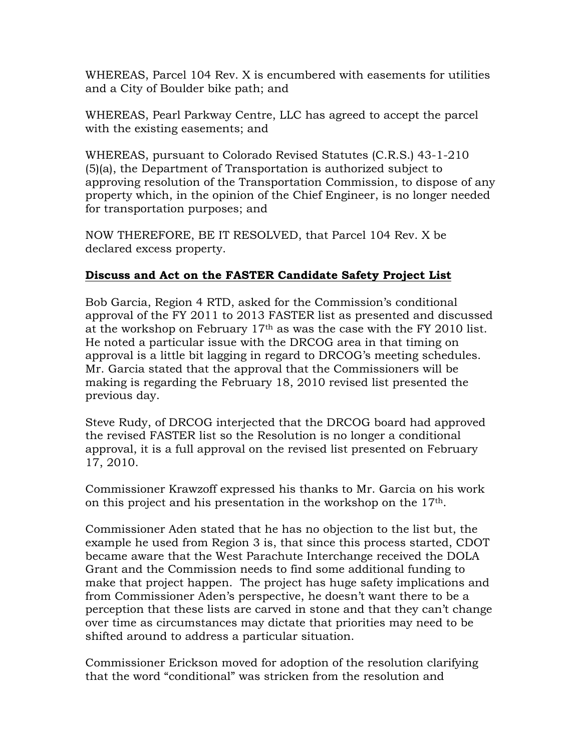WHEREAS, Parcel 104 Rev. X is encumbered with easements for utilities and a City of Boulder bike path; and

WHEREAS, Pearl Parkway Centre, LLC has agreed to accept the parcel with the existing easements; and

WHEREAS, pursuant to Colorado Revised Statutes (C.R.S.) 43-1-210 (5)(a), the Department of Transportation is authorized subject to approving resolution of the Transportation Commission, to dispose of any property which, in the opinion of the Chief Engineer, is no longer needed for transportation purposes; and

NOW THEREFORE, BE IT RESOLVED, that Parcel 104 Rev. X be declared excess property.

### Discuss and Act on the FASTER Candidate Safety Project List

Bob Garcia, Region 4 RTD, asked for the Commission's conditional approval of the FY 2011 to 2013 FASTER list as presented and discussed at the workshop on February  $17<sup>th</sup>$  as was the case with the FY 2010 list. He noted a particular issue with the DRCOG area in that timing on approval is a little bit lagging in regard to DRCOG's meeting schedules. Mr. Garcia stated that the approval that the Commissioners will be making is regarding the February 18, 2010 revised list presented the previous day.

Steve Rudy, of DRCOG interjected that the DRCOG board had approved the revised FASTER list so the Resolution is no longer a conditional approval, it is a full approval on the revised list presented on February 17, 2010.

Commissioner Krawzoff expressed his thanks to Mr. Garcia on his work on this project and his presentation in the workshop on the 17th.

Commissioner Aden stated that he has no objection to the list but, the example he used from Region 3 is, that since this process started, CDOT became aware that the West Parachute Interchange received the DOLA Grant and the Commission needs to find some additional funding to make that project happen. The project has huge safety implications and from Commissioner Aden's perspective, he doesn't want there to be a perception that these lists are carved in stone and that they can't change over time as circumstances may dictate that priorities may need to be shifted around to address a particular situation.

Commissioner Erickson moved for adoption of the resolution clarifying that the word "conditional" was stricken from the resolution and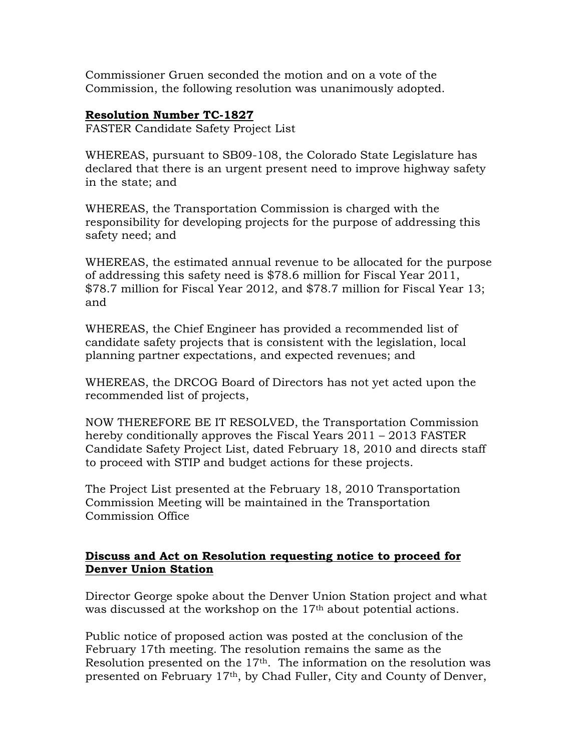Commissioner Gruen seconded the motion and on a vote of the Commission, the following resolution was unanimously adopted.

#### Resolution Number TC-1827

FASTER Candidate Safety Project List

WHEREAS, pursuant to SB09-108, the Colorado State Legislature has declared that there is an urgent present need to improve highway safety in the state; and

WHEREAS, the Transportation Commission is charged with the responsibility for developing projects for the purpose of addressing this safety need; and

WHEREAS, the estimated annual revenue to be allocated for the purpose of addressing this safety need is \$78.6 million for Fiscal Year 2011, \$78.7 million for Fiscal Year 2012, and \$78.7 million for Fiscal Year 13; and

WHEREAS, the Chief Engineer has provided a recommended list of candidate safety projects that is consistent with the legislation, local planning partner expectations, and expected revenues; and

WHEREAS, the DRCOG Board of Directors has not yet acted upon the recommended list of projects,

NOW THEREFORE BE IT RESOLVED, the Transportation Commission hereby conditionally approves the Fiscal Years 2011 – 2013 FASTER Candidate Safety Project List, dated February 18, 2010 and directs staff to proceed with STIP and budget actions for these projects.

The Project List presented at the February 18, 2010 Transportation Commission Meeting will be maintained in the Transportation Commission Office

### Discuss and Act on Resolution requesting notice to proceed for Denver Union Station

Director George spoke about the Denver Union Station project and what was discussed at the workshop on the 17<sup>th</sup> about potential actions.

Public notice of proposed action was posted at the conclusion of the February 17th meeting. The resolution remains the same as the Resolution presented on the 17<sup>th</sup>. The information on the resolution was presented on February 17th, by Chad Fuller, City and County of Denver,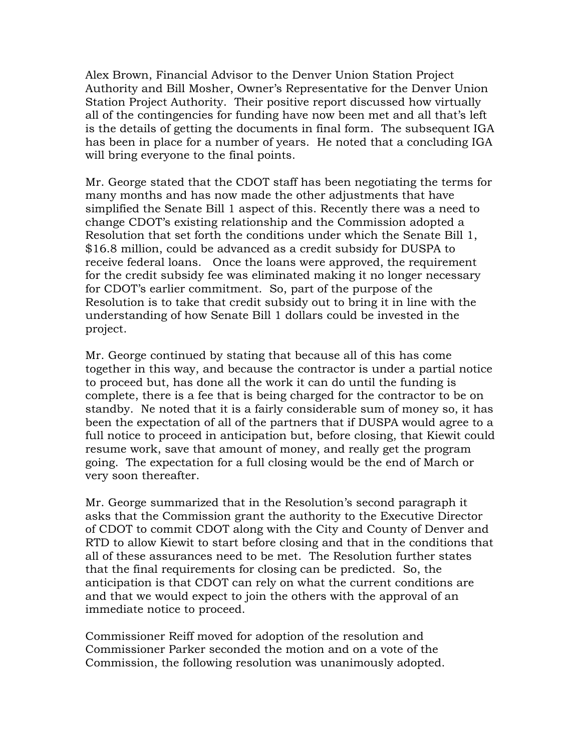Alex Brown, Financial Advisor to the Denver Union Station Project Authority and Bill Mosher, Owner's Representative for the Denver Union Station Project Authority. Their positive report discussed how virtually all of the contingencies for funding have now been met and all that's left is the details of getting the documents in final form. The subsequent IGA has been in place for a number of years. He noted that a concluding IGA will bring everyone to the final points.

Mr. George stated that the CDOT staff has been negotiating the terms for many months and has now made the other adjustments that have simplified the Senate Bill 1 aspect of this. Recently there was a need to change CDOT's existing relationship and the Commission adopted a Resolution that set forth the conditions under which the Senate Bill 1, \$16.8 million, could be advanced as a credit subsidy for DUSPA to receive federal loans. Once the loans were approved, the requirement for the credit subsidy fee was eliminated making it no longer necessary for CDOT's earlier commitment. So, part of the purpose of the Resolution is to take that credit subsidy out to bring it in line with the understanding of how Senate Bill 1 dollars could be invested in the project.

Mr. George continued by stating that because all of this has come together in this way, and because the contractor is under a partial notice to proceed but, has done all the work it can do until the funding is complete, there is a fee that is being charged for the contractor to be on standby. Ne noted that it is a fairly considerable sum of money so, it has been the expectation of all of the partners that if DUSPA would agree to a full notice to proceed in anticipation but, before closing, that Kiewit could resume work, save that amount of money, and really get the program going. The expectation for a full closing would be the end of March or very soon thereafter.

Mr. George summarized that in the Resolution's second paragraph it asks that the Commission grant the authority to the Executive Director of CDOT to commit CDOT along with the City and County of Denver and RTD to allow Kiewit to start before closing and that in the conditions that all of these assurances need to be met. The Resolution further states that the final requirements for closing can be predicted. So, the anticipation is that CDOT can rely on what the current conditions are and that we would expect to join the others with the approval of an immediate notice to proceed.

Commissioner Reiff moved for adoption of the resolution and Commissioner Parker seconded the motion and on a vote of the Commission, the following resolution was unanimously adopted.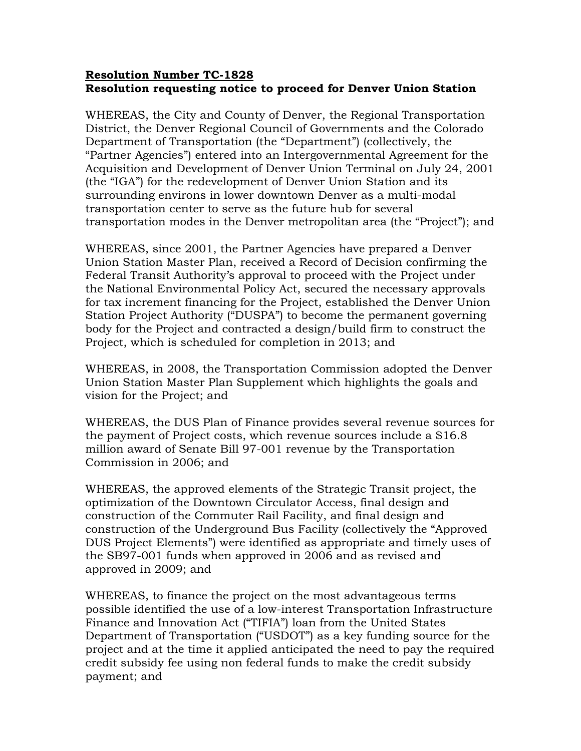#### Resolution Number TC-1828 Resolution requesting notice to proceed for Denver Union Station

WHEREAS, the City and County of Denver, the Regional Transportation District, the Denver Regional Council of Governments and the Colorado Department of Transportation (the "Department") (collectively, the "Partner Agencies") entered into an Intergovernmental Agreement for the Acquisition and Development of Denver Union Terminal on July 24, 2001 (the "IGA") for the redevelopment of Denver Union Station and its surrounding environs in lower downtown Denver as a multi-modal transportation center to serve as the future hub for several transportation modes in the Denver metropolitan area (the "Project"); and

WHEREAS, since 2001, the Partner Agencies have prepared a Denver Union Station Master Plan, received a Record of Decision confirming the Federal Transit Authority's approval to proceed with the Project under the National Environmental Policy Act, secured the necessary approvals for tax increment financing for the Project, established the Denver Union Station Project Authority ("DUSPA") to become the permanent governing body for the Project and contracted a design/build firm to construct the Project, which is scheduled for completion in 2013; and

WHEREAS, in 2008, the Transportation Commission adopted the Denver Union Station Master Plan Supplement which highlights the goals and vision for the Project; and

WHEREAS, the DUS Plan of Finance provides several revenue sources for the payment of Project costs, which revenue sources include a \$16.8 million award of Senate Bill 97-001 revenue by the Transportation Commission in 2006; and

WHEREAS, the approved elements of the Strategic Transit project, the optimization of the Downtown Circulator Access, final design and construction of the Commuter Rail Facility, and final design and construction of the Underground Bus Facility (collectively the "Approved DUS Project Elements") were identified as appropriate and timely uses of the SB97-001 funds when approved in 2006 and as revised and approved in 2009; and

WHEREAS, to finance the project on the most advantageous terms possible identified the use of a low-interest Transportation Infrastructure Finance and Innovation Act ("TIFIA") loan from the United States Department of Transportation ("USDOT") as a key funding source for the project and at the time it applied anticipated the need to pay the required credit subsidy fee using non federal funds to make the credit subsidy payment; and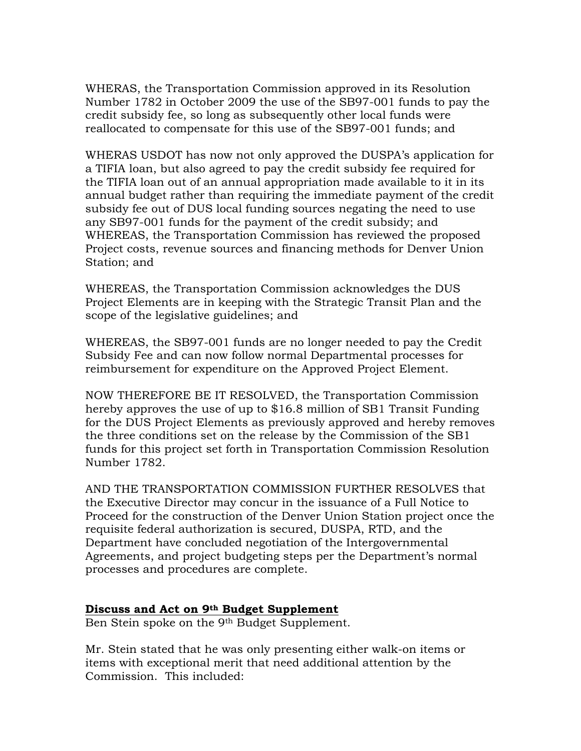WHERAS, the Transportation Commission approved in its Resolution Number 1782 in October 2009 the use of the SB97-001 funds to pay the credit subsidy fee, so long as subsequently other local funds were reallocated to compensate for this use of the SB97-001 funds; and

WHERAS USDOT has now not only approved the DUSPA's application for a TIFIA loan, but also agreed to pay the credit subsidy fee required for the TIFIA loan out of an annual appropriation made available to it in its annual budget rather than requiring the immediate payment of the credit subsidy fee out of DUS local funding sources negating the need to use any SB97-001 funds for the payment of the credit subsidy; and WHEREAS, the Transportation Commission has reviewed the proposed Project costs, revenue sources and financing methods for Denver Union Station; and

WHEREAS, the Transportation Commission acknowledges the DUS Project Elements are in keeping with the Strategic Transit Plan and the scope of the legislative guidelines; and

WHEREAS, the SB97-001 funds are no longer needed to pay the Credit Subsidy Fee and can now follow normal Departmental processes for reimbursement for expenditure on the Approved Project Element.

NOW THEREFORE BE IT RESOLVED, the Transportation Commission hereby approves the use of up to \$16.8 million of SB1 Transit Funding for the DUS Project Elements as previously approved and hereby removes the three conditions set on the release by the Commission of the SB1 funds for this project set forth in Transportation Commission Resolution Number 1782.

AND THE TRANSPORTATION COMMISSION FURTHER RESOLVES that the Executive Director may concur in the issuance of a Full Notice to Proceed for the construction of the Denver Union Station project once the requisite federal authorization is secured, DUSPA, RTD, and the Department have concluded negotiation of the Intergovernmental Agreements, and project budgeting steps per the Department's normal processes and procedures are complete.

#### Discuss and Act on 9th Budget Supplement

Ben Stein spoke on the 9<sup>th</sup> Budget Supplement.

Mr. Stein stated that he was only presenting either walk-on items or items with exceptional merit that need additional attention by the Commission. This included: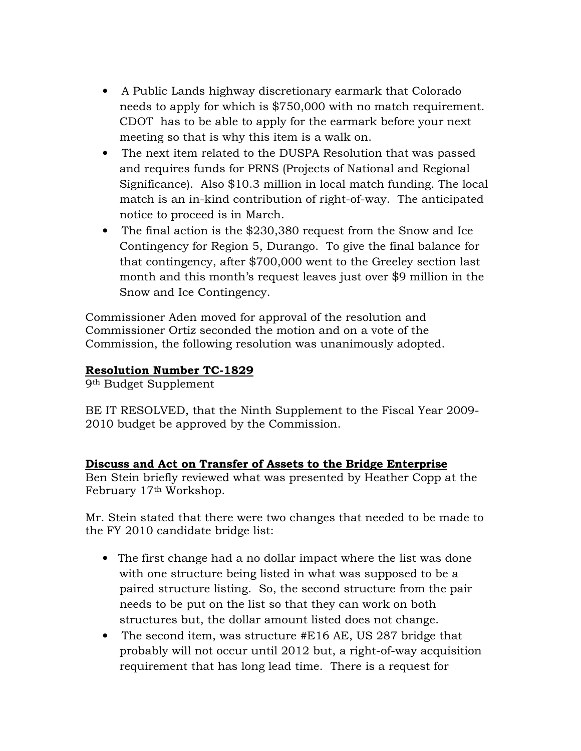- A Public Lands highway discretionary earmark that Colorado needs to apply for which is \$750,000 with no match requirement. CDOT has to be able to apply for the earmark before your next meeting so that is why this item is a walk on.
- The next item related to the DUSPA Resolution that was passed and requires funds for PRNS (Projects of National and Regional Significance). Also \$10.3 million in local match funding. The local match is an in-kind contribution of right-of-way. The anticipated notice to proceed is in March.
- The final action is the \$230,380 request from the Snow and Ice Contingency for Region 5, Durango. To give the final balance for that contingency, after \$700,000 went to the Greeley section last month and this month's request leaves just over \$9 million in the Snow and Ice Contingency.

Commissioner Aden moved for approval of the resolution and Commissioner Ortiz seconded the motion and on a vote of the Commission, the following resolution was unanimously adopted.

# Resolution Number TC-1829

9th Budget Supplement

BE IT RESOLVED, that the Ninth Supplement to the Fiscal Year 2009- 2010 budget be approved by the Commission.

### Discuss and Act on Transfer of Assets to the Bridge Enterprise

Ben Stein briefly reviewed what was presented by Heather Copp at the February 17th Workshop.

Mr. Stein stated that there were two changes that needed to be made to the FY 2010 candidate bridge list:

- The first change had a no dollar impact where the list was done with one structure being listed in what was supposed to be a paired structure listing. So, the second structure from the pair needs to be put on the list so that they can work on both structures but, the dollar amount listed does not change.
- The second item, was structure #E16 AE, US 287 bridge that probably will not occur until 2012 but, a right-of-way acquisition requirement that has long lead time. There is a request for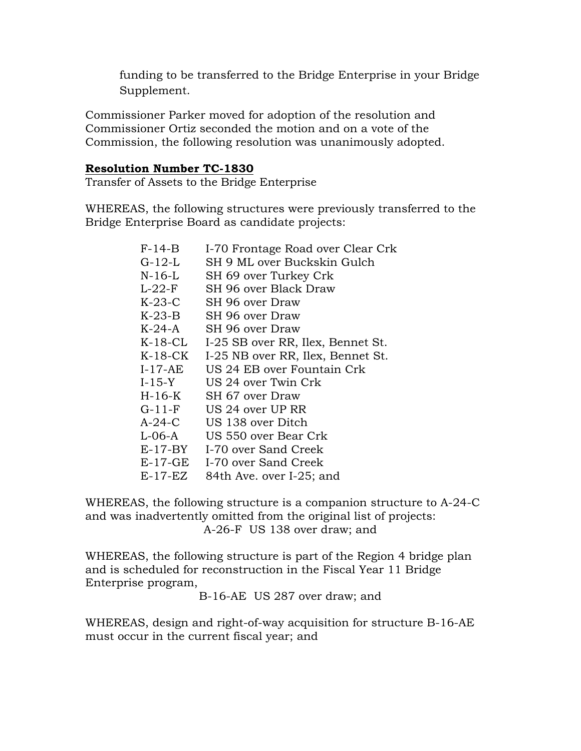funding to be transferred to the Bridge Enterprise in your Bridge Supplement.

Commissioner Parker moved for adoption of the resolution and Commissioner Ortiz seconded the motion and on a vote of the Commission, the following resolution was unanimously adopted.

#### Resolution Number TC-1830

Transfer of Assets to the Bridge Enterprise

WHEREAS, the following structures were previously transferred to the Bridge Enterprise Board as candidate projects:

| $F-14-B$  | I-70 Frontage Road over Clear Crk |
|-----------|-----------------------------------|
| G-12-L    | SH 9 ML over Buckskin Gulch       |
| $N-16-L$  | SH 69 over Turkey Crk             |
| $L-22-F$  | SH 96 over Black Draw             |
| $K-23-C$  | SH 96 over Draw                   |
| $K-23-B$  | SH 96 over Draw                   |
| $K-24-A$  | SH 96 over Draw                   |
| $K-18-CL$ | I-25 SB over RR, Ilex, Bennet St. |
| $K-18-CK$ | I-25 NB over RR, Ilex, Bennet St. |
| $I-17-AE$ | US 24 EB over Fountain Crk        |
| $I-15-Y$  | US 24 over Twin Crk               |
| $H-16-K$  | SH 67 over Draw                   |
| $G-11-F$  | US 24 over UP RR                  |
| $A-24-C$  | US 138 over Ditch                 |
| $L-06-A$  | US 550 over Bear Crk              |
| $E-17-BY$ | I-70 over Sand Creek              |
| $E-17-GE$ | I-70 over Sand Creek              |
| $E-17-EZ$ | 84th Ave. over I-25; and          |
|           |                                   |

WHEREAS, the following structure is a companion structure to A-24-C and was inadvertently omitted from the original list of projects: A-26-F US 138 over draw; and

WHEREAS, the following structure is part of the Region 4 bridge plan and is scheduled for reconstruction in the Fiscal Year 11 Bridge Enterprise program,

B-16-AE US 287 over draw; and

WHEREAS, design and right-of-way acquisition for structure B-16-AE must occur in the current fiscal year; and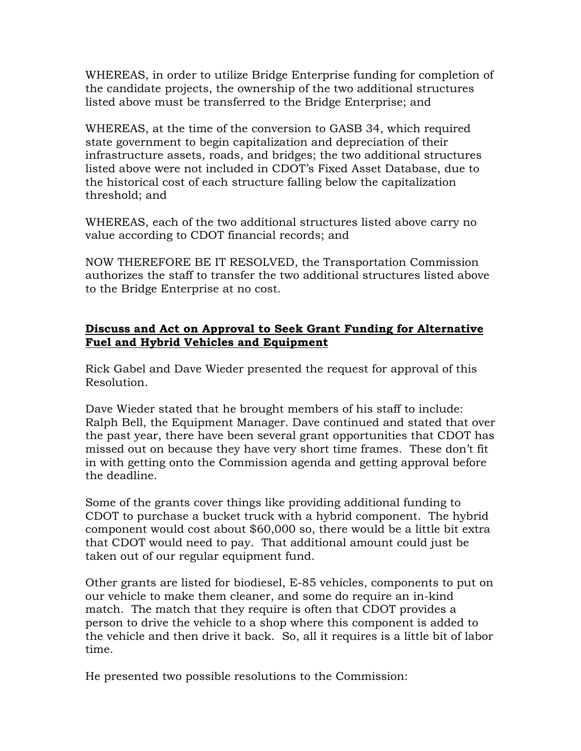WHEREAS, in order to utilize Bridge Enterprise funding for completion of the candidate projects, the ownership of the two additional structures listed above must be transferred to the Bridge Enterprise; and

WHEREAS, at the time of the conversion to GASB 34, which required state government to begin capitalization and depreciation of their infrastructure assets, roads, and bridges; the two additional structures listed above were not included in CDOT's Fixed Asset Database, due to the historical cost of each structure falling below the capitalization threshold; and

WHEREAS, each of the two additional structures listed above carry no value according to CDOT financial records; and

NOW THEREFORE BE IT RESOLVED, the Transportation Commission authorizes the staff to transfer the two additional structures listed above to the Bridge Enterprise at no cost.

### Discuss and Act on Approval to Seek Grant Funding for Alternative Fuel and Hybrid Vehicles and Equipment

Rick Gabel and Dave Wieder presented the request for approval of this Resolution.

Dave Wieder stated that he brought members of his staff to include: Ralph Bell, the Equipment Manager. Dave continued and stated that over the past year, there have been several grant opportunities that CDOT has missed out on because they have very short time frames. These don't fit in with getting onto the Commission agenda and getting approval before the deadline.

Some of the grants cover things like providing additional funding to CDOT to purchase a bucket truck with a hybrid component. The hybrid component would cost about \$60,000 so, there would be a little bit extra that CDOT would need to pay. That additional amount could just be taken out of our regular equipment fund.

Other grants are listed for biodiesel, E-85 vehicles, components to put on our vehicle to make them cleaner, and some do require an in-kind match. The match that they require is often that CDOT provides a person to drive the vehicle to a shop where this component is added to the vehicle and then drive it back. So, all it requires is a little bit of labor time.

He presented two possible resolutions to the Commission: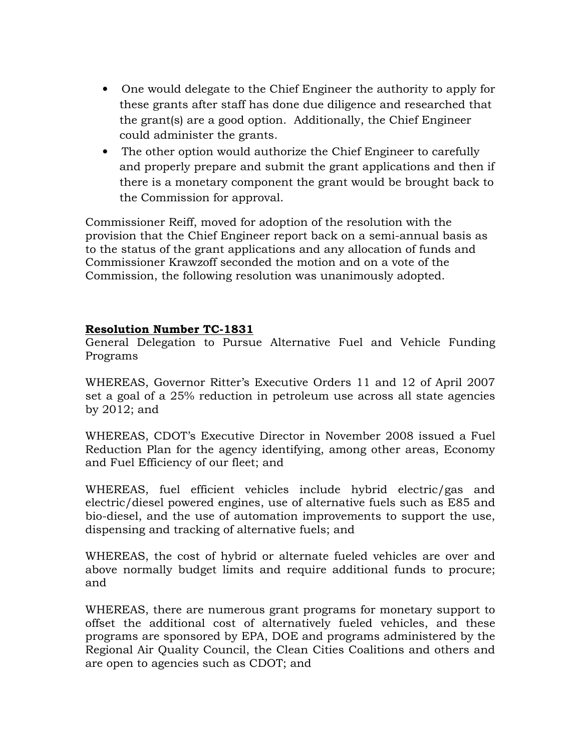- One would delegate to the Chief Engineer the authority to apply for these grants after staff has done due diligence and researched that the grant(s) are a good option. Additionally, the Chief Engineer could administer the grants.
- The other option would authorize the Chief Engineer to carefully and properly prepare and submit the grant applications and then if there is a monetary component the grant would be brought back to the Commission for approval.

Commissioner Reiff, moved for adoption of the resolution with the provision that the Chief Engineer report back on a semi-annual basis as to the status of the grant applications and any allocation of funds and Commissioner Krawzoff seconded the motion and on a vote of the Commission, the following resolution was unanimously adopted.

### Resolution Number TC-1831

General Delegation to Pursue Alternative Fuel and Vehicle Funding Programs

WHEREAS, Governor Ritter's Executive Orders 11 and 12 of April 2007 set a goal of a 25% reduction in petroleum use across all state agencies by 2012; and

WHEREAS, CDOT's Executive Director in November 2008 issued a Fuel Reduction Plan for the agency identifying, among other areas, Economy and Fuel Efficiency of our fleet; and

WHEREAS, fuel efficient vehicles include hybrid electric/gas and electric/diesel powered engines, use of alternative fuels such as E85 and bio-diesel, and the use of automation improvements to support the use, dispensing and tracking of alternative fuels; and

WHEREAS, the cost of hybrid or alternate fueled vehicles are over and above normally budget limits and require additional funds to procure; and

WHEREAS, there are numerous grant programs for monetary support to offset the additional cost of alternatively fueled vehicles, and these programs are sponsored by EPA, DOE and programs administered by the Regional Air Quality Council, the Clean Cities Coalitions and others and are open to agencies such as CDOT; and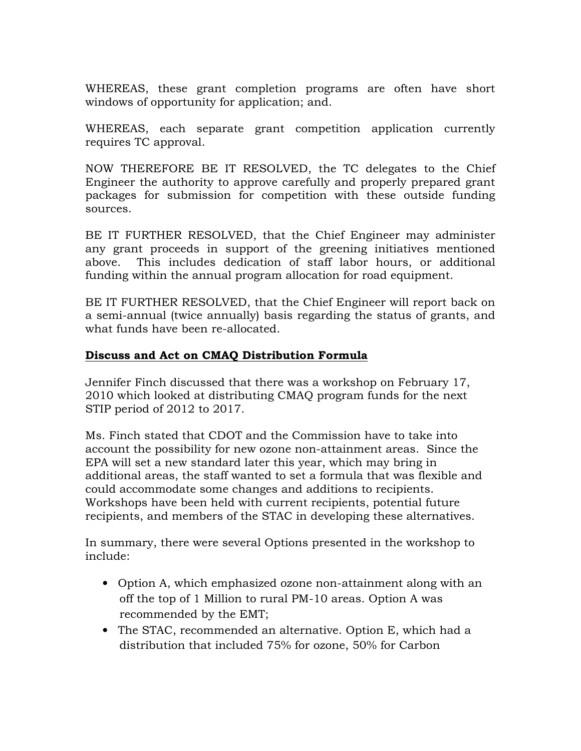WHEREAS, these grant completion programs are often have short windows of opportunity for application; and.

WHEREAS, each separate grant competition application currently requires TC approval.

NOW THEREFORE BE IT RESOLVED, the TC delegates to the Chief Engineer the authority to approve carefully and properly prepared grant packages for submission for competition with these outside funding sources.

BE IT FURTHER RESOLVED, that the Chief Engineer may administer any grant proceeds in support of the greening initiatives mentioned above. This includes dedication of staff labor hours, or additional funding within the annual program allocation for road equipment.

BE IT FURTHER RESOLVED, that the Chief Engineer will report back on a semi-annual (twice annually) basis regarding the status of grants, and what funds have been re-allocated.

### Discuss and Act on CMAQ Distribution Formula

Jennifer Finch discussed that there was a workshop on February 17, 2010 which looked at distributing CMAQ program funds for the next STIP period of 2012 to 2017.

Ms. Finch stated that CDOT and the Commission have to take into account the possibility for new ozone non-attainment areas. Since the EPA will set a new standard later this year, which may bring in additional areas, the staff wanted to set a formula that was flexible and could accommodate some changes and additions to recipients. Workshops have been held with current recipients, potential future recipients, and members of the STAC in developing these alternatives.

In summary, there were several Options presented in the workshop to include:

- Option A, which emphasized ozone non-attainment along with an off the top of 1 Million to rural PM-10 areas. Option A was recommended by the EMT;
- The STAC, recommended an alternative. Option E, which had a distribution that included 75% for ozone, 50% for Carbon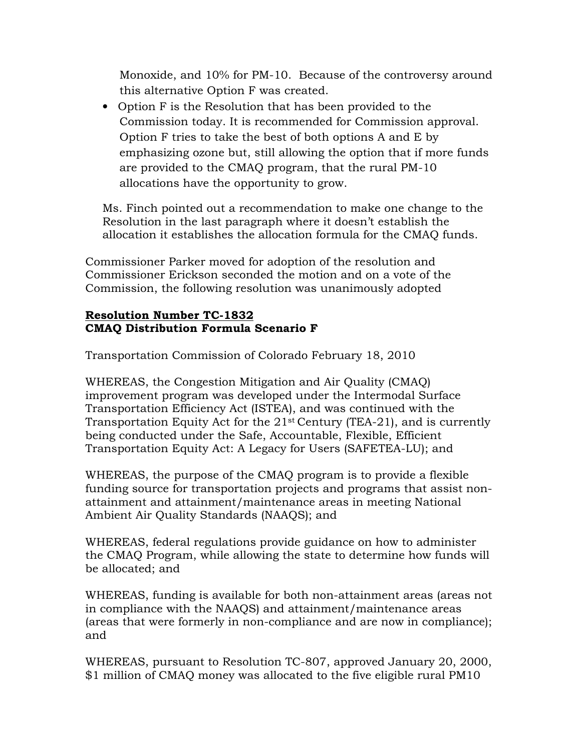Monoxide, and 10% for PM-10. Because of the controversy around this alternative Option F was created.

• Option F is the Resolution that has been provided to the Commission today. It is recommended for Commission approval. Option F tries to take the best of both options A and E by emphasizing ozone but, still allowing the option that if more funds are provided to the CMAQ program, that the rural PM-10 allocations have the opportunity to grow.

Ms. Finch pointed out a recommendation to make one change to the Resolution in the last paragraph where it doesn't establish the allocation it establishes the allocation formula for the CMAQ funds.

Commissioner Parker moved for adoption of the resolution and Commissioner Erickson seconded the motion and on a vote of the Commission, the following resolution was unanimously adopted

## Resolution Number TC-1832 CMAQ Distribution Formula Scenario F

Transportation Commission of Colorado February 18, 2010

WHEREAS, the Congestion Mitigation and Air Quality (CMAQ) improvement program was developed under the Intermodal Surface Transportation Efficiency Act (ISTEA), and was continued with the Transportation Equity Act for the 21st Century (TEA-21), and is currently being conducted under the Safe, Accountable, Flexible, Efficient Transportation Equity Act: A Legacy for Users (SAFETEA-LU); and

WHEREAS, the purpose of the CMAQ program is to provide a flexible funding source for transportation projects and programs that assist nonattainment and attainment/maintenance areas in meeting National Ambient Air Quality Standards (NAAQS); and

WHEREAS, federal regulations provide guidance on how to administer the CMAQ Program, while allowing the state to determine how funds will be allocated; and

WHEREAS, funding is available for both non-attainment areas (areas not in compliance with the NAAQS) and attainment/maintenance areas (areas that were formerly in non-compliance and are now in compliance); and

WHEREAS, pursuant to Resolution TC-807, approved January 20, 2000, \$1 million of CMAQ money was allocated to the five eligible rural PM10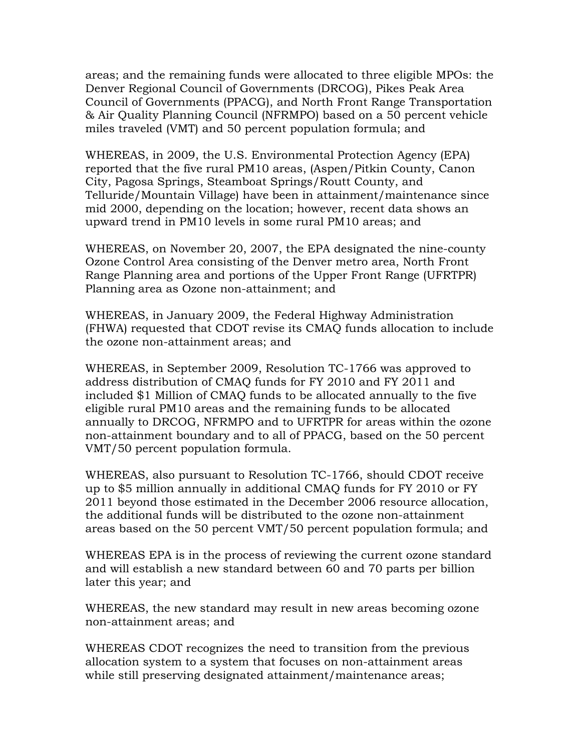areas; and the remaining funds were allocated to three eligible MPOs: the Denver Regional Council of Governments (DRCOG), Pikes Peak Area Council of Governments (PPACG), and North Front Range Transportation & Air Quality Planning Council (NFRMPO) based on a 50 percent vehicle miles traveled (VMT) and 50 percent population formula; and

WHEREAS, in 2009, the U.S. Environmental Protection Agency (EPA) reported that the five rural PM10 areas, (Aspen/Pitkin County, Canon City, Pagosa Springs, Steamboat Springs/Routt County, and Telluride/Mountain Village) have been in attainment/maintenance since mid 2000, depending on the location; however, recent data shows an upward trend in PM10 levels in some rural PM10 areas; and

WHEREAS, on November 20, 2007, the EPA designated the nine-county Ozone Control Area consisting of the Denver metro area, North Front Range Planning area and portions of the Upper Front Range (UFRTPR) Planning area as Ozone non-attainment; and

WHEREAS, in January 2009, the Federal Highway Administration (FHWA) requested that CDOT revise its CMAQ funds allocation to include the ozone non-attainment areas; and

WHEREAS, in September 2009, Resolution TC-1766 was approved to address distribution of CMAQ funds for FY 2010 and FY 2011 and included \$1 Million of CMAQ funds to be allocated annually to the five eligible rural PM10 areas and the remaining funds to be allocated annually to DRCOG, NFRMPO and to UFRTPR for areas within the ozone non-attainment boundary and to all of PPACG, based on the 50 percent VMT/50 percent population formula.

WHEREAS, also pursuant to Resolution TC-1766, should CDOT receive up to \$5 million annually in additional CMAQ funds for FY 2010 or FY 2011 beyond those estimated in the December 2006 resource allocation, the additional funds will be distributed to the ozone non-attainment areas based on the 50 percent VMT/50 percent population formula; and

WHEREAS EPA is in the process of reviewing the current ozone standard and will establish a new standard between 60 and 70 parts per billion later this year; and

WHEREAS, the new standard may result in new areas becoming ozone non-attainment areas; and

WHEREAS CDOT recognizes the need to transition from the previous allocation system to a system that focuses on non-attainment areas while still preserving designated attainment/maintenance areas;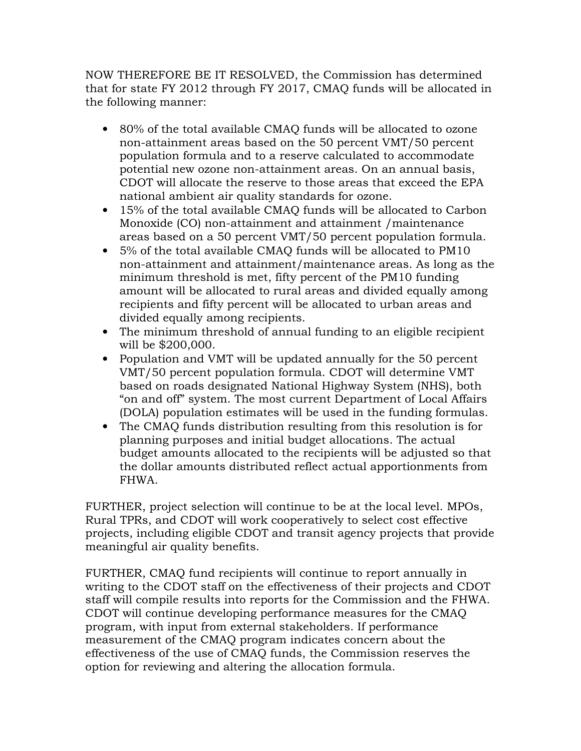NOW THEREFORE BE IT RESOLVED, the Commission has determined that for state FY 2012 through FY 2017, CMAQ funds will be allocated in the following manner:

- 80% of the total available CMAQ funds will be allocated to ozone non-attainment areas based on the 50 percent VMT/50 percent population formula and to a reserve calculated to accommodate potential new ozone non-attainment areas. On an annual basis, CDOT will allocate the reserve to those areas that exceed the EPA national ambient air quality standards for ozone.
- 15% of the total available CMAQ funds will be allocated to Carbon Monoxide (CO) non-attainment and attainment /maintenance areas based on a 50 percent VMT/50 percent population formula.
- 5% of the total available CMAQ funds will be allocated to PM10 non-attainment and attainment/maintenance areas. As long as the minimum threshold is met, fifty percent of the PM10 funding amount will be allocated to rural areas and divided equally among recipients and fifty percent will be allocated to urban areas and divided equally among recipients.
- The minimum threshold of annual funding to an eligible recipient will be \$200,000.
- Population and VMT will be updated annually for the 50 percent VMT/50 percent population formula. CDOT will determine VMT based on roads designated National Highway System (NHS), both "on and off" system. The most current Department of Local Affairs (DOLA) population estimates will be used in the funding formulas.
- The CMAQ funds distribution resulting from this resolution is for planning purposes and initial budget allocations. The actual budget amounts allocated to the recipients will be adjusted so that the dollar amounts distributed reflect actual apportionments from FHWA.

FURTHER, project selection will continue to be at the local level. MPOs, Rural TPRs, and CDOT will work cooperatively to select cost effective projects, including eligible CDOT and transit agency projects that provide meaningful air quality benefits.

FURTHER, CMAQ fund recipients will continue to report annually in writing to the CDOT staff on the effectiveness of their projects and CDOT staff will compile results into reports for the Commission and the FHWA. CDOT will continue developing performance measures for the CMAQ program, with input from external stakeholders. If performance measurement of the CMAQ program indicates concern about the effectiveness of the use of CMAQ funds, the Commission reserves the option for reviewing and altering the allocation formula.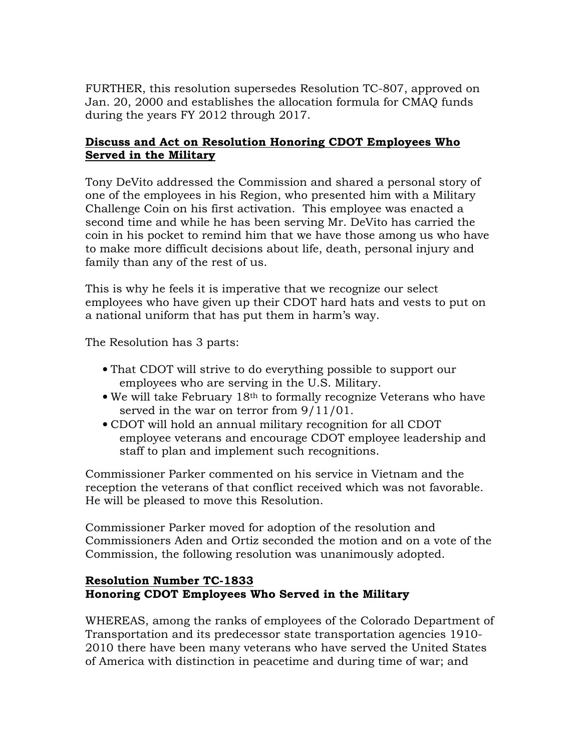FURTHER, this resolution supersedes Resolution TC-807, approved on Jan. 20, 2000 and establishes the allocation formula for CMAQ funds during the years FY 2012 through 2017.

## Discuss and Act on Resolution Honoring CDOT Employees Who Served in the Military

Tony DeVito addressed the Commission and shared a personal story of one of the employees in his Region, who presented him with a Military Challenge Coin on his first activation. This employee was enacted a second time and while he has been serving Mr. DeVito has carried the coin in his pocket to remind him that we have those among us who have to make more difficult decisions about life, death, personal injury and family than any of the rest of us.

This is why he feels it is imperative that we recognize our select employees who have given up their CDOT hard hats and vests to put on a national uniform that has put them in harm's way.

The Resolution has 3 parts:

- That CDOT will strive to do everything possible to support our employees who are serving in the U.S. Military.
- We will take February 18th to formally recognize Veterans who have served in the war on terror from 9/11/01.
- CDOT will hold an annual military recognition for all CDOT employee veterans and encourage CDOT employee leadership and staff to plan and implement such recognitions.

Commissioner Parker commented on his service in Vietnam and the reception the veterans of that conflict received which was not favorable. He will be pleased to move this Resolution.

Commissioner Parker moved for adoption of the resolution and Commissioners Aden and Ortiz seconded the motion and on a vote of the Commission, the following resolution was unanimously adopted.

### Resolution Number TC-1833 Honoring CDOT Employees Who Served in the Military

WHEREAS, among the ranks of employees of the Colorado Department of Transportation and its predecessor state transportation agencies 1910- 2010 there have been many veterans who have served the United States of America with distinction in peacetime and during time of war; and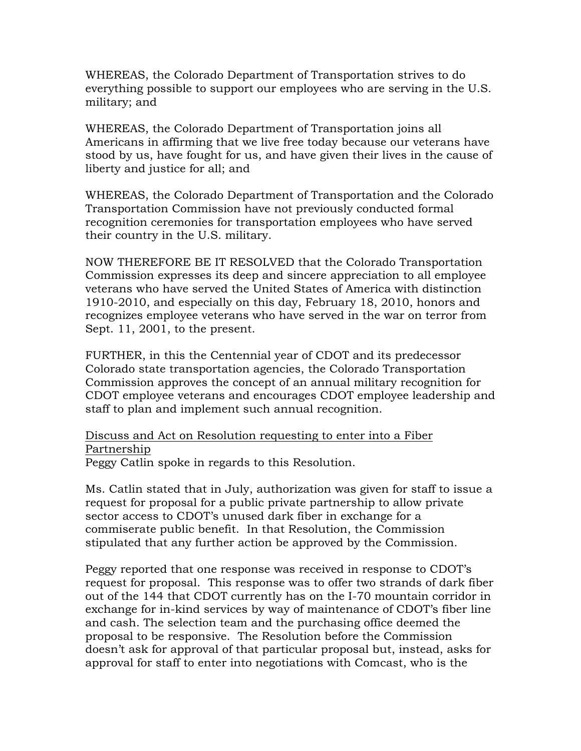WHEREAS, the Colorado Department of Transportation strives to do everything possible to support our employees who are serving in the U.S. military; and

WHEREAS, the Colorado Department of Transportation joins all Americans in affirming that we live free today because our veterans have stood by us, have fought for us, and have given their lives in the cause of liberty and justice for all; and

WHEREAS, the Colorado Department of Transportation and the Colorado Transportation Commission have not previously conducted formal recognition ceremonies for transportation employees who have served their country in the U.S. military.

NOW THEREFORE BE IT RESOLVED that the Colorado Transportation Commission expresses its deep and sincere appreciation to all employee veterans who have served the United States of America with distinction 1910-2010, and especially on this day, February 18, 2010, honors and recognizes employee veterans who have served in the war on terror from Sept. 11, 2001, to the present.

FURTHER, in this the Centennial year of CDOT and its predecessor Colorado state transportation agencies, the Colorado Transportation Commission approves the concept of an annual military recognition for CDOT employee veterans and encourages CDOT employee leadership and staff to plan and implement such annual recognition.

Discuss and Act on Resolution requesting to enter into a Fiber Partnership

Peggy Catlin spoke in regards to this Resolution.

Ms. Catlin stated that in July, authorization was given for staff to issue a request for proposal for a public private partnership to allow private sector access to CDOT's unused dark fiber in exchange for a commiserate public benefit. In that Resolution, the Commission stipulated that any further action be approved by the Commission.

Peggy reported that one response was received in response to CDOT's request for proposal. This response was to offer two strands of dark fiber out of the 144 that CDOT currently has on the I-70 mountain corridor in exchange for in-kind services by way of maintenance of CDOT's fiber line and cash. The selection team and the purchasing office deemed the proposal to be responsive. The Resolution before the Commission doesn't ask for approval of that particular proposal but, instead, asks for approval for staff to enter into negotiations with Comcast, who is the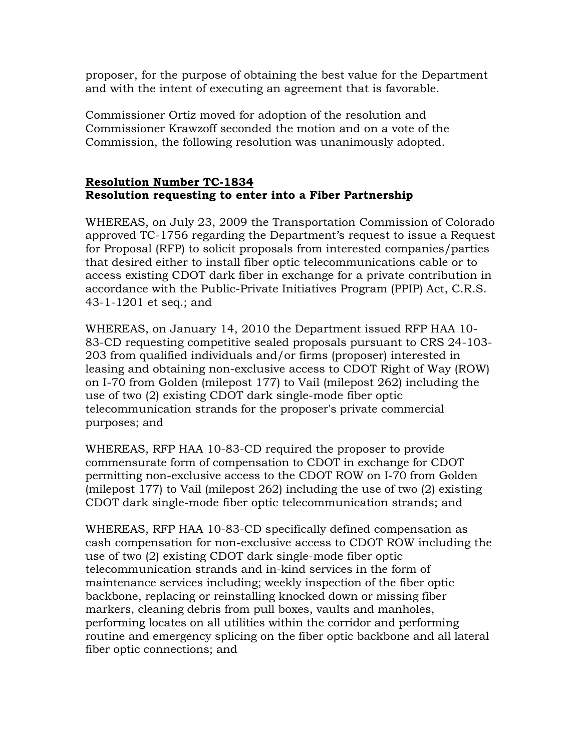proposer, for the purpose of obtaining the best value for the Department and with the intent of executing an agreement that is favorable.

Commissioner Ortiz moved for adoption of the resolution and Commissioner Krawzoff seconded the motion and on a vote of the Commission, the following resolution was unanimously adopted.

### Resolution Number TC-1834 Resolution requesting to enter into a Fiber Partnership

WHEREAS, on July 23, 2009 the Transportation Commission of Colorado approved TC-1756 regarding the Department's request to issue a Request for Proposal (RFP) to solicit proposals from interested companies/parties that desired either to install fiber optic telecommunications cable or to access existing CDOT dark fiber in exchange for a private contribution in accordance with the Public-Private Initiatives Program (PPIP) Act, C.R.S. 43-1-1201 et seq.; and

WHEREAS, on January 14, 2010 the Department issued RFP HAA 10- 83-CD requesting competitive sealed proposals pursuant to CRS 24-103- 203 from qualified individuals and/or firms (proposer) interested in leasing and obtaining non-exclusive access to CDOT Right of Way (ROW) on I-70 from Golden (milepost 177) to Vail (milepost 262) including the use of two (2) existing CDOT dark single-mode fiber optic telecommunication strands for the proposer's private commercial purposes; and

WHEREAS, RFP HAA 10-83-CD required the proposer to provide commensurate form of compensation to CDOT in exchange for CDOT permitting non-exclusive access to the CDOT ROW on I-70 from Golden (milepost 177) to Vail (milepost 262) including the use of two (2) existing CDOT dark single-mode fiber optic telecommunication strands; and

WHEREAS, RFP HAA 10-83-CD specifically defined compensation as cash compensation for non-exclusive access to CDOT ROW including the use of two (2) existing CDOT dark single-mode fiber optic telecommunication strands and in-kind services in the form of maintenance services including; weekly inspection of the fiber optic backbone, replacing or reinstalling knocked down or missing fiber markers, cleaning debris from pull boxes, vaults and manholes, performing locates on all utilities within the corridor and performing routine and emergency splicing on the fiber optic backbone and all lateral fiber optic connections; and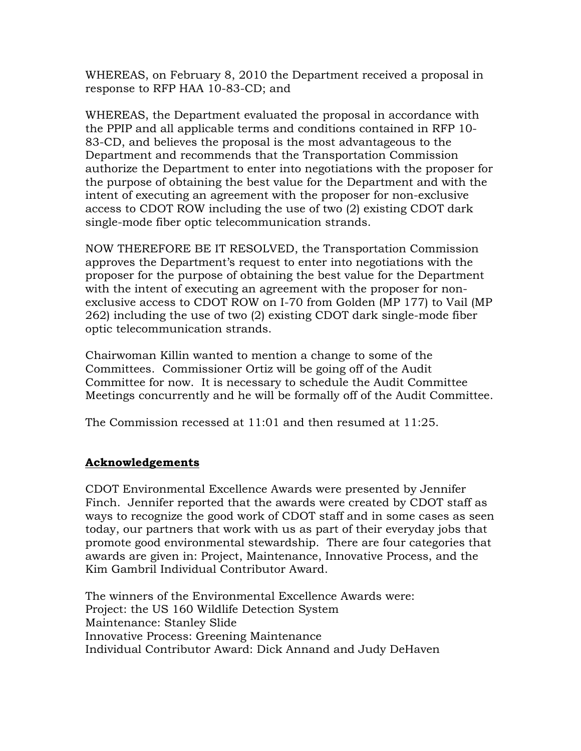WHEREAS, on February 8, 2010 the Department received a proposal in response to RFP HAA 10-83-CD; and

WHEREAS, the Department evaluated the proposal in accordance with the PPIP and all applicable terms and conditions contained in RFP 10- 83-CD, and believes the proposal is the most advantageous to the Department and recommends that the Transportation Commission authorize the Department to enter into negotiations with the proposer for the purpose of obtaining the best value for the Department and with the intent of executing an agreement with the proposer for non-exclusive access to CDOT ROW including the use of two (2) existing CDOT dark single-mode fiber optic telecommunication strands.

NOW THEREFORE BE IT RESOLVED, the Transportation Commission approves the Department's request to enter into negotiations with the proposer for the purpose of obtaining the best value for the Department with the intent of executing an agreement with the proposer for nonexclusive access to CDOT ROW on I-70 from Golden (MP 177) to Vail (MP 262) including the use of two (2) existing CDOT dark single-mode fiber optic telecommunication strands.

Chairwoman Killin wanted to mention a change to some of the Committees. Commissioner Ortiz will be going off of the Audit Committee for now. It is necessary to schedule the Audit Committee Meetings concurrently and he will be formally off of the Audit Committee.

The Commission recessed at 11:01 and then resumed at 11:25.

### Acknowledgements

CDOT Environmental Excellence Awards were presented by Jennifer Finch. Jennifer reported that the awards were created by CDOT staff as ways to recognize the good work of CDOT staff and in some cases as seen today, our partners that work with us as part of their everyday jobs that promote good environmental stewardship. There are four categories that awards are given in: Project, Maintenance, Innovative Process, and the Kim Gambril Individual Contributor Award.

The winners of the Environmental Excellence Awards were: Project: the US 160 Wildlife Detection System Maintenance: Stanley Slide Innovative Process: Greening Maintenance Individual Contributor Award: Dick Annand and Judy DeHaven